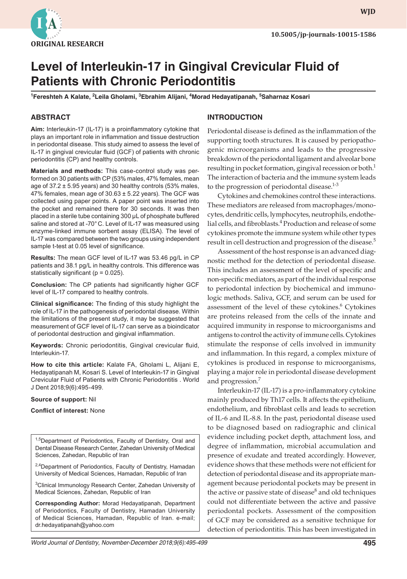

**WJD WJD**

# **Level of Interleukin-17 in Gingival Crevicular Fluid of Patients with Chronic Periodontitis**

**1 Fereshteh A Kalate, <sup>2</sup> Leila Gholami, 3 Ebrahim Alijani, 4 Morad Hedayatipanah, 5 Saharnaz Kosari**

#### **ABSTRACT**

**Aim:** Interleukin-17 (IL-17) is a proinflammatory cytokine that plays an important role in inflammation and tissue destruction in periodontal disease. This study aimed to assess the level of IL-17 in gingival crevicular fluid (GCF) of patients with chronic periodontitis (CP) and healthy controls.

**Materials and methods:** This case-control study was performed on 30 patients with CP (53% males, 47% females, mean age of  $37.2 \pm 5.95$  years) and 30 healthy controls (53% males, 47% females, mean age of  $30.63 \pm 5.22$  years). The GCF was collected using paper points. A paper point was inserted into the pocket and remained there for 30 seconds. It was then placed in a sterile tube containing 300 µL of phosphate buffered saline and stored at -70°C. Level of IL-17 was measured using enzyme-linked immune sorbent assay (ELISA). The level of IL-17 was compared between the two groups using independent sample t-test at 0.05 level of significance.

**Results:** The mean GCF level of IL-17 was 53.46 pg/L in CP patients and 38.1 pg/L in healthy controls. This difference was statistically significant ( $p = 0.025$ ).

**Conclusion:** The CP patients had significantly higher GCF level of IL-17 compared to healthy controls.

**Clinical significance:** The finding of this study highlight the role of IL-17 in the pathogenesis of periodontal disease. Within the limitations of the present study, it may be suggested that measurement of GCF level of IL-17 can serve as a bioindicator of periodontal destruction and gingival inflammation.

**Keywords:** Chronic periodontitis, Gingival crevicular fluid, Interleukin-17.

**How to cite this article:** Kalate FA, Gholami L, Alijani E, Hedayatipanah M, Kosari S. Level of Interleukin-17 in Gingival Crevicular Fluid of Patients with Chronic Periodontitis . World J Dent 2018;9(6):495-499.

**Source of support:** Nil

**Conflict of interest:** None

<sup>1,5</sup>Department of Periodontics, Faculty of Dentistry, Oral and Dental Disease Research Center, Zahedan University of Medical Sciences, Zahedan, Republic of Iran

<sup>2,4</sup>Department of Periodontics, Faculty of Dentistry, Hamadan University of Medical Sciences, Hamadan, Republic of Iran

<sup>3</sup>Clinical Immunology Research Center, Zahedan University of Medical Sciences, Zahedan, Republic of Iran

**Corresponding Author:** Morad Hedayatipanah, Department of Periodontics, Faculty of Dentistry, Hamadan University of Medical Sciences, Hamadan, Republic of Iran. e-mail; dr.hedayatipanah@yahoo.com

#### **INTRODUCTION**

Periodontal disease is defined as the inflammation of the supporting tooth structures. It is caused by periopathogenic microorganisms and leads to the progressive breakdown of the periodontal ligament and alveolar bone resulting in pocket formation, gingival recession or both.<sup>1</sup> The interaction of bacteria and the immune system leads to the progression of periodontal disease.<sup>1-3</sup>

Cytokines and chemokines control these interactions. These mediators are released from macrophages/monocytes, dendritic cells, lymphocytes, neutrophils, endothelial cells, and fibroblasts.<sup>4</sup> Production and release of some cytokines promote the immune system while other types result in cell destruction and progression of the disease.<sup>5</sup>

Assessment of the host response is an advanced diagnostic method for the detection of periodontal disease. This includes an assessment of the level of specific and non-specific mediators, as part of the individual response to periodontal infection by biochemical and immunologic methods. Saliva, GCF, and serum can be used for assessment of the level of these cytokines.<sup>6</sup> Cytokines are proteins released from the cells of the innate and acquired immunity in response to microorganisms and antigens to control the activity of immune cells. Cytokines stimulate the response of cells involved in immunity and inflammation. In this regard, a complex mixture of cytokines is produced in response to microorganisms, playing a major role in periodontal disease development and progression.<sup>7</sup>

Interleukin-17 (IL-17) is a pro-inflammatory cytokine mainly produced by Th17 cells. It affects the epithelium, endothelium, and fibroblast cells and leads to secretion of IL-6 and IL-8.8. In the past, periodontal disease used to be diagnosed based on radiographic and clinical evidence including pocket depth, attachment loss, and degree of inflammation, microbial accumulation and presence of exudate and treated accordingly. However, evidence shows that these methods were not efficient for detection of periodontal disease and its appropriate management because periodontal pockets may be present in the active or passive state of disease $\delta$  and old techniques could not differentiate between the active and passive periodontal pockets. Assessment of the composition of GCF may be considered as a sensitive technique for detection of periodontitis. This has been investigated in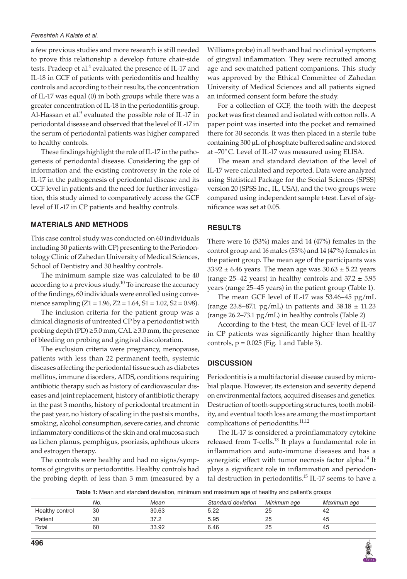a few previous studies and more research is still needed to prove this relationship a develop future chair-side tests. Pradeep et al.<sup>4</sup> evaluated the presence of IL-17 and IL-18 in GCF of patients with periodontitis and healthy controls and according to their results, the concentration of IL-17 was equal (0) in both groups while there was a greater concentration of IL-18 in the periodontitis group. Al-Hassan et al. $9$  evaluated the possible role of IL-17 in periodontal disease and observed that the level of IL-17 in the serum of periodontal patients was higher compared to healthy controls.

These findings highlight the role of IL-17 in the pathogenesis of periodontal disease. Considering the gap of information and the existing controversy in the role of IL-17 in the pathogenesis of periodontal disease and its GCF level in patients and the need for further investigation, this study aimed to comparatively access the GCF level of IL-17 in CP patients and healthy controls.

#### **MATERIALS AND METHODS**

This case control study was conducted on 60 individuals including 30 patients with CP) presenting to the Periodontology Clinic of Zahedan University of Medical Sciences, School of Dentistry and 30 healthy controls.

The minimum sample size was calculated to be 40 according to a previous study.<sup>10</sup> To increase the accuracy of the findings, 60 individuals were enrolled using convenience sampling (Z1 = 1.96, Z2 = 1.64, S1 = 1.02, S2 = 0.98).

The inclusion criteria for the patient group was a clinical diagnosis of untreated CP by a periodontist with probing depth (PD)  $\geq$ 5.0 mm, CAL  $\geq$ 3.0 mm, the presence of bleeding on probing and gingival discoloration.

The exclusion criteria were pregnancy, menopause, patients with less than 22 permanent teeth, systemic diseases affecting the periodontal tissue such as diabetes mellitus, immune disorders, AIDS, conditions requiring antibiotic therapy such as history of cardiovascular diseases and joint replacement, history of antibiotic therapy in the past 3 months, history of periodontal treatment in the past year, no history of scaling in the past six months, smoking, alcohol consumption, severe caries, and chronic inflammatory conditions of the skin and oral mucosa such as lichen planus, pemphigus, psoriasis, aphthous ulcers and estrogen therapy.

The controls were healthy and had no signs/symptoms of gingivitis or periodontitis. Healthy controls had the probing depth of less than 3 mm (measured by a Williams probe) in all teeth and had no clinical symptoms of gingival inflammation. They were recruited among age and sex-matched patient companions. This study was approved by the Ethical Committee of Zahedan University of Medical Sciences and all patients signed an informed consent form before the study.

For a collection of GCF, the tooth with the deepest pocket was first cleaned and isolated with cotton rolls. A paper point was inserted into the pocket and remained there for 30 seconds. It was then placed in a sterile tube containing 300 µL of phosphate buffered saline and stored at –70°C. Level of IL-17 was measured using ELISA.

The mean and standard deviation of the level of IL-17 were calculated and reported. Data were analyzed using Statistical Package for the Social Sciences (SPSS) version 20 (SPSS Inc., IL, USA), and the two groups were compared using independent sample t-test. Level of significance was set at 0.05.

### **RESULTS**

There were 16 (53%) males and 14 (47%) females in the control group and 16 males (53%) and 14 (47%) females in the patient group. The mean age of the participants was  $33.92 \pm 6.46$  years. The mean age was  $30.63 \pm 5.22$  years (range 25–42 years) in healthy controls and  $37.2 \pm 5.95$ years (range 25–45 years) in the patient group (Table 1).

The mean GCF level of IL-17 was 53.46–45 pg/mL (range 23.8–87.1 pg/mL) in patients and  $38.18 \pm 11.23$ (range 26.2–73.1 pg/mL) in healthy controls (Table 2)

According to the t-test, the mean GCF level of IL-17 in CP patients was significantly higher than healthy controls,  $p = 0.025$  (Fig. 1 and Table 3).

#### **DISCUSSION**

Periodontitis is a multifactorial disease caused by microbial plaque. However, its extension and severity depend on environmental factors, acquired diseases and genetics. Destruction of tooth-supporting structures, tooth mobility, and eventual tooth loss are among the most important complications of periodontitis.<sup>11,12</sup>

The IL-17 is considered a proinflammatory cytokine released from T-cells.<sup>13</sup> It plays a fundamental role in inflammation and auto-immune diseases and has a synergistic effect with tumor necrosis factor alpha.<sup>14</sup> It plays a significant role in inflammation and periodontal destruction in periodontitis.<sup>15</sup> IL-17 seems to have a

**Table 1:** Mean and standard deviation, minimum and maximum age of healthy and patient's groups

|                 | No. | Mean  | Standard deviation | Minimum age | Maximum age |
|-----------------|-----|-------|--------------------|-------------|-------------|
| Healthy control | 30  | 30.63 | 5.22               | تک          | 42          |
| Patient         | 30  | 27 C  | 5.95               |             | 45          |
| Total           | 60  | 33.92 | 6.46               |             | 45          |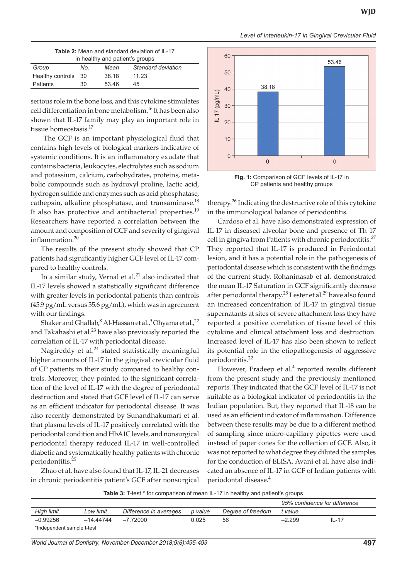*Level of Interleukin-17 in Gingival Crevicular Fluid*

| <b>Table 2:</b> Mean and standard deviation of IL-17 |  |  |  |  |  |  |
|------------------------------------------------------|--|--|--|--|--|--|
| in healthy and patient's groups                      |  |  |  |  |  |  |

| Group               | No. | Mean  | Standard deviation |
|---------------------|-----|-------|--------------------|
| Healthy controls 30 |     | 38.18 | 11.23              |
| Patients            | 30  | 53.46 | 45                 |

serious role in the bone loss, and this cytokine stimulates cell differentiation in bone metabolism.16 It has been also shown that IL-17 family may play an important role in tissue homeostasis.<sup>17</sup>

 The GCF is an important physiological fluid that contains high levels of biological markers indicative of systemic conditions. It is an inflammatory exudate that contains bacteria, leukocytes, electrolytes such as sodium and potassium, calcium, carbohydrates, proteins, metabolic compounds such as hydroxyl proline, lactic acid, hydrogen sulfide and enzymes such as acid phosphatase, cathepsin, alkaline phosphatase, and transaminase.<sup>18</sup> It also has protective and antibacterial properties.<sup>19</sup> Researchers have reported a correlation between the amount and composition of GCF and severity of gingival inflammation. $20$ 

The results of the present study showed that CP patients had significantly higher GCF level of IL-17 compared to healthy controls.

In a similar study, Vernal et al. $21$  also indicated that IL-17 levels showed a statistically significant difference with greater levels in periodontal patients than controls (45.9 pg/mL versus 35.6 pg/mL), which was in agreement with our findings.

Shaker and Ghallab, $^8$  Al-Hassan et al., $^9$  Ohyama et al., $^{22}$ and Takahashi et al.<sup>23</sup> have also previously reported the correlation of IL-17 with periodontal disease.

Nagireddy et al. $^{24}$  stated statistically meaningful higher amounts of IL-17 in the gingival crevicular fluid of CP patients in their study compared to healthy controls. Moreover, they pointed to the significant correlation of the level of IL-17 with the degree of periodontal destruction and stated that GCF level of IL-17 can serve as an efficient indicator for periodontal disease. It was also recently demonstrated by Sunandhakumari et al. that plasma levels of IL-17 positively correlated with the periodontal condition and HbA1C levels, and nonsurgical periodontal therapy reduced IL-17 in well-controlled diabetic and systematically healthy patients with chronic periodontitis.25

Zhao et al. have also found that IL-17, IL-21 decreases in chronic periodontitis patient's GCF after nonsurgical



**Fig. 1:** Comparison of GCF levels of IL-17 in CP patients and healthy groups

therapy.<sup>26</sup> Indicating the destructive role of this cytokine in the immunological balance of periodontitis.

Cardoso et al. have also demonstrated expression of IL-17 in diseased alveolar bone and presence of Th 17 cell in gingiva from Patients with chronic periodontitis. $27$ They reported that IL-17 is produced in Periodontal lesion, and it has a potential role in the pathogenesis of periodontal disease which is consistent with the findings of the current study. Rohaninasab et al. demonstrated the mean IL-17 Saturation in GCF significantly decrease after periodontal therapy.<sup>28</sup> Lester et al.<sup>29</sup> have also found an increased concentration of IL-17 in gingival tissue supernatants at sites of severe attachment loss they have reported a positive correlation of tissue level of this cytokine and clinical attachment loss and destruction. Increased level of IL-17 has also been shown to reflect its potential role in the etiopathogenesis of aggressive periodontitis.22

However, Pradeep et al.<sup>4</sup> reported results different from the present study and the previously mentioned reports. They indicated that the GCF level of IL-17 is not suitable as a biological indicator of periodontitis in the Indian population. But, they reported that IL-18 can be used as an efficient indicator of inflammation. Difference between these results may be due to a different method of sampling since micro-capillary pipettes were used instead of paper cones for the collection of GCF. Also, it was not reported to what degree they diluted the samples for the conduction of ELISA. Avani et al. have also indicated an absence of IL-17 in GCF of Indian patients with periodontal disease.4

**Table 3:** T-test \* for comparison of mean IL-17 in healthy and patient's groups

|                            |           |                        |         |                   | 95% confidence for difference |           |  |
|----------------------------|-----------|------------------------|---------|-------------------|-------------------------------|-----------|--|
| High limit                 | Low limit | Difference in averages | p value | Degree of freedom | † value                       |           |  |
| $-0.99256$                 | -14.44744 | $-7.72000$             | 0.025   | 56                | $-2.299$                      | $II - 17$ |  |
| *Independent sample t-test |           |                        |         |                   |                               |           |  |

*World Journal of Dentistry, November-December 2018;9(6):495-499* **497**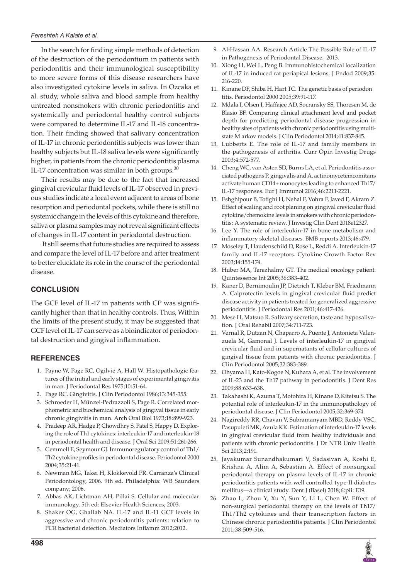In the search for finding simple methods of detection of the destruction of the periodontium in patients with periodontitis and their immunological susceptibility to more severe forms of this disease researchers have also investigated cytokine levels in saliva. In Ozcaka et al. study, whole saliva and blood sample from healthy untreated nonsmokers with chronic periodontitis and systemically and periodontal healthy control subjects were compared to determine IL-17 and IL-18 concentration. Their finding showed that salivary concentration of IL-17 in chronic periodontitis subjects was lower than healthy subjects but IL-18 saliva levels were significantly higher, in patients from the chronic periodontitis plasma IL-17 concentration was similar in both groups. $30$ 

Their results may be due to the fact that increased gingival crevicular fluid levels of IL-17 observed in previous studies indicate a local event adjacent to areas of bone resorption and periodontal pockets, while there is still no systemic change in the levels of this cytokine and therefore, saliva or plasma samples may not reveal significant effects of changes in IL-17 content in periodontal destruction.

 It still seems that future studies are required to assess and compare the level of IL-17 before and after treatment to better elucidate its role in the course of the periodontal disease.

### **CONCLUSION**

The GCF level of IL-17 in patients with CP was significantly higher than that in healthy controls. Thus, Within the limits of the present study, it may be suggested that GCF level of IL-17 can serve as a bioindicator of periodontal destruction and gingival inflammation.

## **REFERENCES**

- 1. Payne W, Page RC, Ogilvie A, Hall W. Histopathologic features of the initial and early stages of experimental gingivitis in man. J Periodontal Res 1975;10:51-64.
- 2. Page RC. Gingivitis. J Clin Periodontol 1986;13:345-355.
- 3. Schroeder H, Münzel-Pedrazzoli S, Page R. Correlated morphometric and biochemical analysis of gingival tissue in early chronic gingivitis in man. Arch Oral Biol 1973;18:899-923.
- 4. Pradeep AR, Hadge P, Chowdhry S, Patel S, Happy D. Exploring the role of Th1 cytokines: interleukin-17 and interleukin-18 in periodontal health and disease. J Oral Sci 2009;51:261-266.
- 5. Gemmell E, Seymour GJ. Immunoregulatory control of Th1/ Th2 cytokine profiles in periodontal disease. Periodontol 2000 2004;35:21-41.
- 6. Newman MG, Takei H, Klokkevold PR. Carranza's Clinical Periodontology, 2006. 9th ed. Philadelphia: WB Saunders company; 2006.
- 7. Abbas AK, Lichtman AH, Pillai S. Cellular and molecular immunology. 5th ed: Elsevier Health Sciences; 2003.
- 8. Shaker OG, Ghallab NA. IL-17 and IL-11 GCF levels in aggressive and chronic periodontitis patients: relation to PCR bacterial detection. Mediators Inflamm 2012;2012.
- 9. Al-Hassan AA. Research Article The Possible Role of IL-17 in Pathogenesis of Periodontal Disease. 2013.
- 10. Xiong H, Wei L, Peng B. Immunohistochemical localization of IL-17 in induced rat periapical lesions. J Endod 2009;35: 216-220.
- 11. Kinane DF, Shiba H, Hart TC. The genetic basis of periodon titis. Periodontol 2000 2005;39:91-117.
- 12. Mdala I, Olsen I, Haffajee AD, Socransky SS, Thoresen M, de Blasio BF. Comparing clinical attachment level and pocket depth for predicting periodontal disease progression in healthy sites of patients with chronic periodontitis using multistate M arkov models. J Clin Periodontol 2014;41:837-845.
- 13. Lubberts E. The role of IL-17 and family members in the pathogenesis of arthritis. Curr Opin Investig Drugs 2003;4:572-577.
- 14. Cheng WC, van Asten SD, Burns LA, et al. Periodontitis associated pathogens P. gingivalis and A. actinomycetemcomitans activate human CD14+ monocytes leading to enhanced Th17/ IL-17 responses. Eur J Immunol 2016;46:2211-2221.
- 15. Eshghipour B, Tofighi H, Nehal F, Vohra F, Javed F, Akram Z. Effect of scaling and root planing on gingival crevicular fluid cytokine/chemokine levels in smokers with chronic periodontitis: A systematic review. J Investig Clin Dent 2018e12327.
- 16. Lee Y. The role of interleukin-17 in bone metabolism and inflammatory skeletal diseases. BMB reports 2013;46:479.
- 17. Moseley T, Haudenschild D, Rose L, Reddi A. Interleukin-17 family and IL-17 receptors. Cytokine Growth Factor Rev 2003;14:155-174.
- 18. Huber MA, Terezhalmy GT. The medical oncology patient. Quintessence Int 2005;36:383-402.
- 19. Kaner D, Bernimoulin JP, Dietrich T, Kleber BM, Friedmann A. Calprotectin levels in gingival crevicular fluid predict disease activity in patients treated for generalized aggressive periodontitis. J Periodontal Res 2011;46:417-426.
- 20. Mese H, Matsuo R. Salivary secretion, taste and hyposalivation. J Oral Rehabil 2007;34:711-723.
- 21. Vernal R, Dutzan N, Chaparro A, Puente J, Antonieta Valenzuela M, Gamonal J. Levels of interleukin-17 in gingival crevicular fluid and in supernatants of cellular cultures of gingival tissue from patients with chronic periodontitis. J Clin Periodontol 2005;32:383-389.
- 22. Ohyama H, Kato-Kogoe N, Kuhara A, et al. The involvement of IL-23 and the Th17 pathway in periodontitis. J Dent Res 2009;88:633-638.
- 23. Takahashi K, Azuma T, Motohira H, Kinane D, Kitetsu S. The potential role of interleukin-17 in the immunopathology of periodontal disease. J Clin Periodontol 2005;32:369-374.
- 24. Nagireddy RR, Chavan V, Subramanyam MBD, Reddy VSC, Pasupuleti MK, Avula KK. Estimation of interleukin-17 levels in gingival crevicular fluid from healthy individuals and patients with chronic periodontitis. J Dr NTR Univ Health Sci 2013;2:191.
- 25. Jayakumar Sunandhakumari V, Sadasivan A, Koshi E, Krishna A, Alim A, Sebastian A. Effect of nonsurgical periodontal therapy on plasma levels of IL-17 in chronic periodontitis patients with well controlled type-II diabetes mellitus—a clinical study. Dent J (Basel) 2018;6:pii: E19.
- 26. Zhao L, Zhou Y, Xu Y, Sun Y, Li L, Chen W. Effect of non-surgical periodontal therapy on the levels of Th17/ Th1/Th2 cytokines and their transcription factors in Chinese chronic periodontitis patients. J Clin Periodontol 2011;38:509-516.